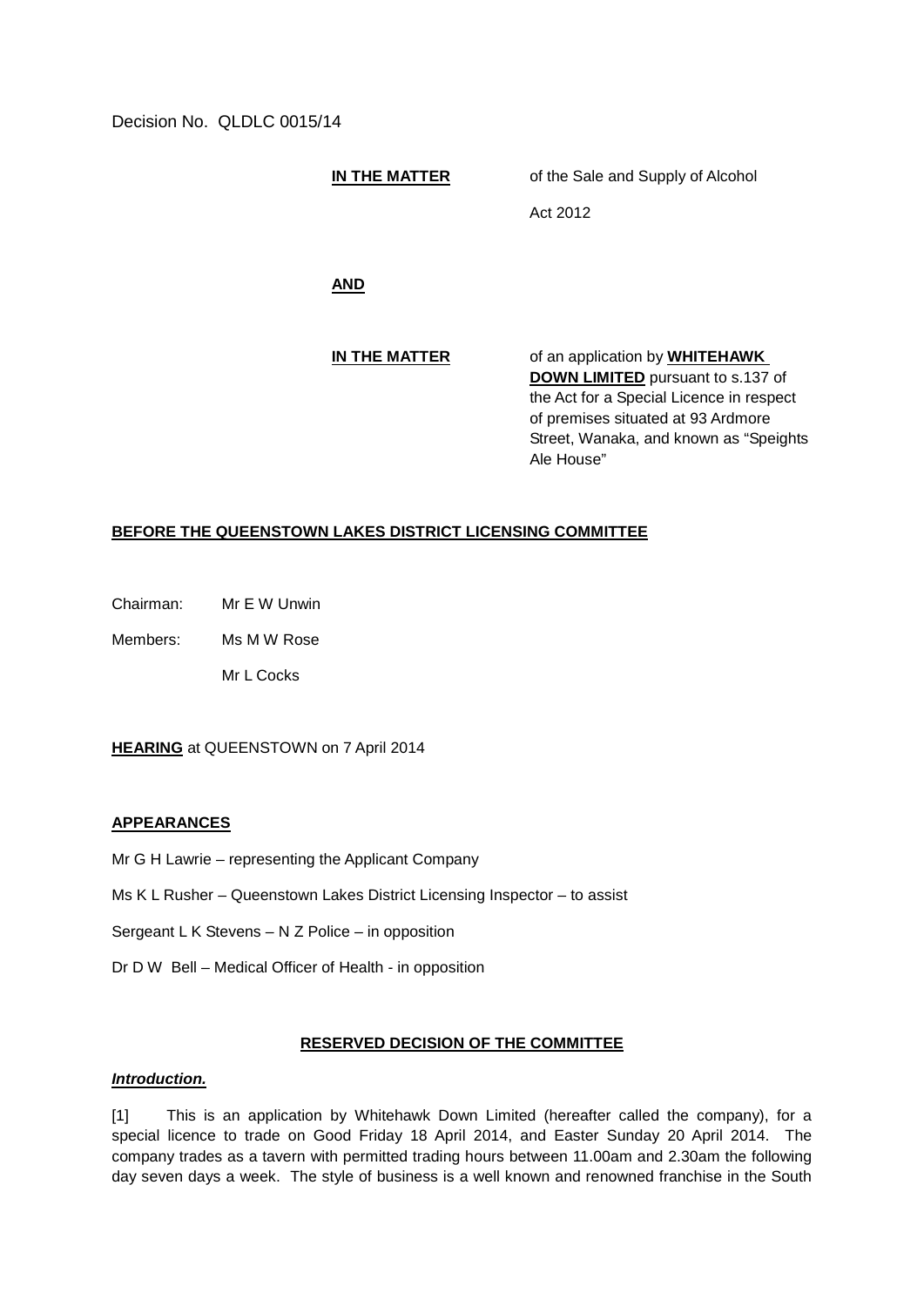Decision No. QLDLC 0015/14

**IN THE MATTER** of the Sale and Supply of Alcohol

Act 2012

**AND**

**IN THE MATTER** of an application by **WHITEHAWK DOWN LIMITED** pursuant to s.137 of the Act for a Special Licence in respect of premises situated at 93 Ardmore Street, Wanaka, and known as "Speights Ale House"

# **BEFORE THE QUEENSTOWN LAKES DISTRICT LICENSING COMMITTEE**

Chairman: Mr E W Unwin

Members: Ms M W Rose

Mr L Cocks

**HEARING** at QUEENSTOWN on 7 April 2014

# **APPEARANCES**

- Mr G H Lawrie representing the Applicant Company
- Ms K L Rusher Queenstown Lakes District Licensing Inspector to assist
- Sergeant L K Stevens N Z Police in opposition
- Dr D W Bell Medical Officer of Health in opposition

# **RESERVED DECISION OF THE COMMITTEE**

### *Introduction.*

[1] This is an application by Whitehawk Down Limited (hereafter called the company), for a special licence to trade on Good Friday 18 April 2014, and Easter Sunday 20 April 2014. The company trades as a tavern with permitted trading hours between 11.00am and 2.30am the following day seven days a week. The style of business is a well known and renowned franchise in the South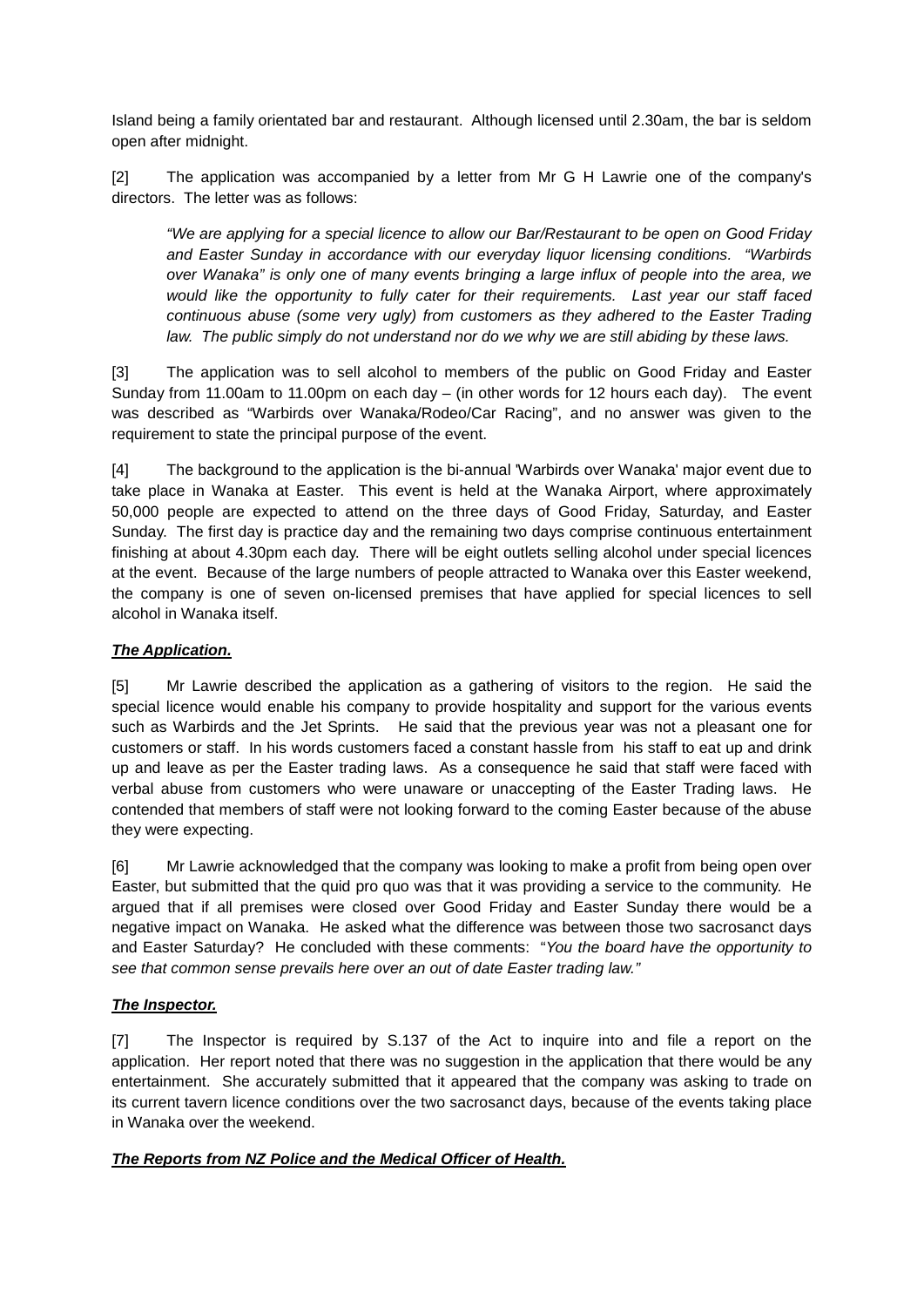Island being a family orientated bar and restaurant. Although licensed until 2.30am, the bar is seldom open after midnight.

[2] The application was accompanied by a letter from Mr G H Lawrie one of the company's directors. The letter was as follows:

*"We are applying for a special licence to allow our Bar/Restaurant to be open on Good Friday and Easter Sunday in accordance with our everyday liquor licensing conditions. "Warbirds over Wanaka" is only one of many events bringing a large influx of people into the area, we would like the opportunity to fully cater for their requirements. Last year our staff faced continuous abuse (some very ugly) from customers as they adhered to the Easter Trading*  law. The public simply do not understand nor do we why we are still abiding by these laws.

[3] The application was to sell alcohol to members of the public on Good Friday and Easter Sunday from 11.00am to 11.00pm on each day – (in other words for 12 hours each day). The event was described as "Warbirds over Wanaka/Rodeo/Car Racing", and no answer was given to the requirement to state the principal purpose of the event.

[4] The background to the application is the bi-annual 'Warbirds over Wanaka' major event due to take place in Wanaka at Easter. This event is held at the Wanaka Airport, where approximately 50,000 people are expected to attend on the three days of Good Friday, Saturday, and Easter Sunday. The first day is practice day and the remaining two days comprise continuous entertainment finishing at about 4.30pm each day. There will be eight outlets selling alcohol under special licences at the event. Because of the large numbers of people attracted to Wanaka over this Easter weekend, the company is one of seven on-licensed premises that have applied for special licences to sell alcohol in Wanaka itself.

# *The Application.*

[5] Mr Lawrie described the application as a gathering of visitors to the region. He said the special licence would enable his company to provide hospitality and support for the various events such as Warbirds and the Jet Sprints. He said that the previous year was not a pleasant one for customers or staff. In his words customers faced a constant hassle from his staff to eat up and drink up and leave as per the Easter trading laws. As a consequence he said that staff were faced with verbal abuse from customers who were unaware or unaccepting of the Easter Trading laws. He contended that members of staff were not looking forward to the coming Easter because of the abuse they were expecting.

[6] Mr Lawrie acknowledged that the company was looking to make a profit from being open over Easter, but submitted that the quid pro quo was that it was providing a service to the community. He argued that if all premises were closed over Good Friday and Easter Sunday there would be a negative impact on Wanaka. He asked what the difference was between those two sacrosanct days and Easter Saturday? He concluded with these comments: "*You the board have the opportunity to see that common sense prevails here over an out of date Easter trading law."*

# *The Inspector.*

[7] The Inspector is required by S.137 of the Act to inquire into and file a report on the application. Her report noted that there was no suggestion in the application that there would be any entertainment. She accurately submitted that it appeared that the company was asking to trade on its current tavern licence conditions over the two sacrosanct days, because of the events taking place in Wanaka over the weekend.

# *The Reports from NZ Police and the Medical Officer of Health.*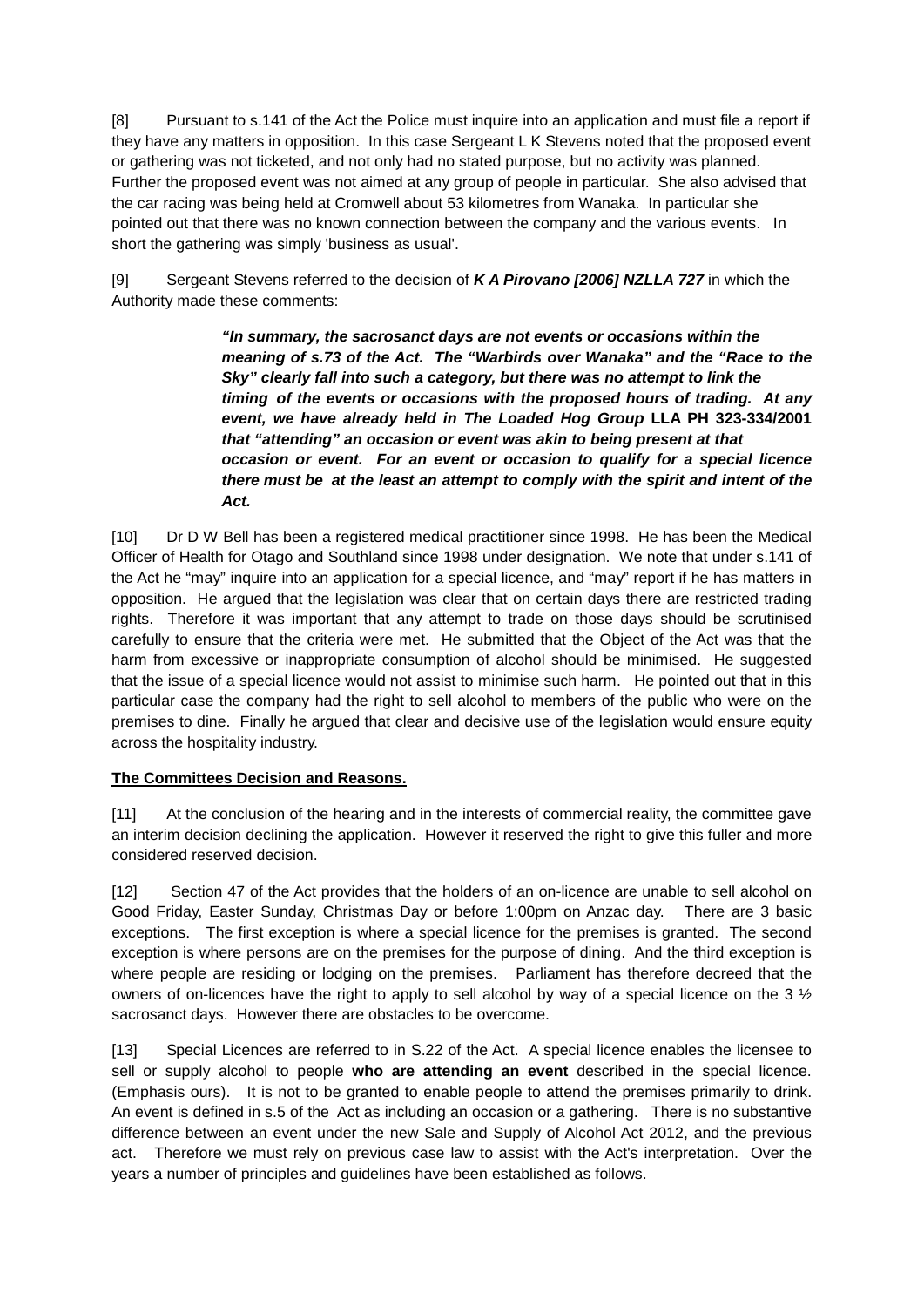[8] Pursuant to s.141 of the Act the Police must inquire into an application and must file a report if they have any matters in opposition. In this case Sergeant L K Stevens noted that the proposed event or gathering was not ticketed, and not only had no stated purpose, but no activity was planned. Further the proposed event was not aimed at any group of people in particular. She also advised that the car racing was being held at Cromwell about 53 kilometres from Wanaka. In particular she pointed out that there was no known connection between the company and the various events. In short the gathering was simply 'business as usual'.

[9] Sergeant Stevens referred to the decision of *K A Pirovano [2006] NZLLA 727* in which the Authority made these comments:

> *"In summary, the sacrosanct days are not events or occasions within the meaning of s.73 of the Act. The "Warbirds over Wanaka" and the "Race to the Sky" clearly fall into such a category, but there was no attempt to link the timing of the events or occasions with the proposed hours of trading. At any event, we have already held in The Loaded Hog Group* **LLA PH 323-334/2001**  *that "attending" an occasion or event was akin to being present at that occasion or event. For an event or occasion to qualify for a special licence there must be at the least an attempt to comply with the spirit and intent of the Act.*

[10] Dr D W Bell has been a registered medical practitioner since 1998. He has been the Medical Officer of Health for Otago and Southland since 1998 under designation. We note that under s.141 of the Act he "may" inquire into an application for a special licence, and "may" report if he has matters in opposition. He argued that the legislation was clear that on certain days there are restricted trading rights. Therefore it was important that any attempt to trade on those days should be scrutinised carefully to ensure that the criteria were met. He submitted that the Object of the Act was that the harm from excessive or inappropriate consumption of alcohol should be minimised. He suggested that the issue of a special licence would not assist to minimise such harm. He pointed out that in this particular case the company had the right to sell alcohol to members of the public who were on the premises to dine. Finally he argued that clear and decisive use of the legislation would ensure equity across the hospitality industry.

# **The Committees Decision and Reasons.**

[11] At the conclusion of the hearing and in the interests of commercial reality, the committee gave an interim decision declining the application. However it reserved the right to give this fuller and more considered reserved decision.

[12] Section 47 of the Act provides that the holders of an on-licence are unable to sell alcohol on Good Friday, Easter Sunday, Christmas Day or before 1:00pm on Anzac day. There are 3 basic exceptions. The first exception is where a special licence for the premises is granted. The second exception is where persons are on the premises for the purpose of dining. And the third exception is where people are residing or lodging on the premises. Parliament has therefore decreed that the owners of on-licences have the right to apply to sell alcohol by way of a special licence on the 3  $\frac{1}{2}$ sacrosanct days. However there are obstacles to be overcome.

[13] Special Licences are referred to in S.22 of the Act. A special licence enables the licensee to sell or supply alcohol to people **who are attending an event** described in the special licence. (Emphasis ours). It is not to be granted to enable people to attend the premises primarily to drink. An event is defined in s.5 of the Act as including an occasion or a gathering. There is no substantive difference between an event under the new Sale and Supply of Alcohol Act 2012, and the previous act. Therefore we must rely on previous case law to assist with the Act's interpretation. Over the years a number of principles and guidelines have been established as follows.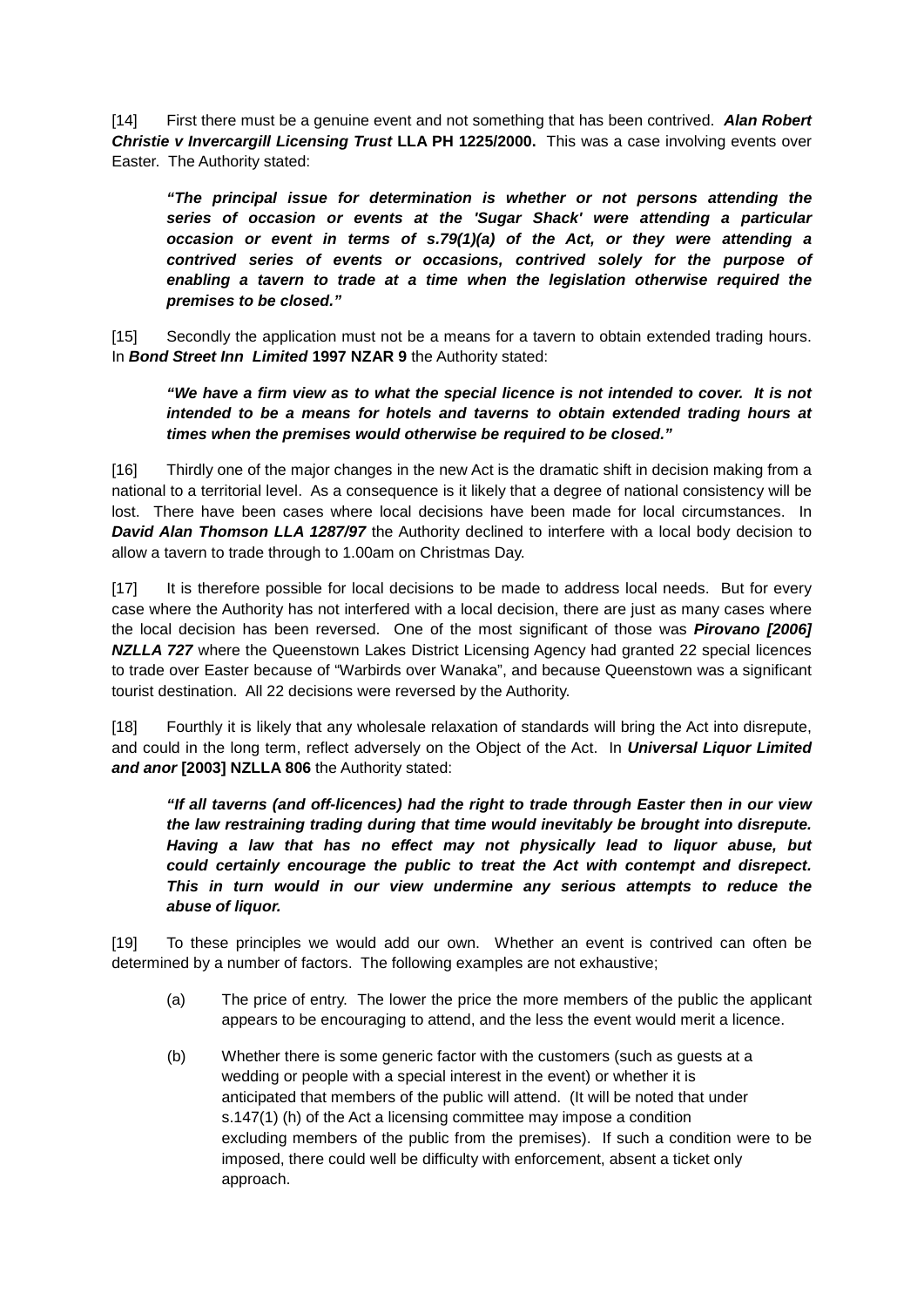[14] First there must be a genuine event and not something that has been contrived. *Alan Robert Christie v Invercargill Licensing Trust* **LLA PH 1225/2000.** This was a case involving events over Easter. The Authority stated:

*"The principal issue for determination is whether or not persons attending the series of occasion or events at the 'Sugar Shack' were attending a particular occasion or event in terms of s.79(1)(a) of the Act, or they were attending a contrived series of events or occasions, contrived solely for the purpose of enabling a tavern to trade at a time when the legislation otherwise required the premises to be closed."*

[15] Secondly the application must not be a means for a tavern to obtain extended trading hours. In *Bond Street Inn Limited* **1997 NZAR 9** the Authority stated:

*"We have a firm view as to what the special licence is not intended to cover. It is not intended to be a means for hotels and taverns to obtain extended trading hours at times when the premises would otherwise be required to be closed."*

[16] Thirdly one of the major changes in the new Act is the dramatic shift in decision making from a national to a territorial level. As a consequence is it likely that a degree of national consistency will be lost. There have been cases where local decisions have been made for local circumstances. In *David Alan Thomson LLA 1287/97* the Authority declined to interfere with a local body decision to allow a tavern to trade through to 1.00am on Christmas Day.

[17] It is therefore possible for local decisions to be made to address local needs. But for every case where the Authority has not interfered with a local decision, there are just as many cases where the local decision has been reversed. One of the most significant of those was *Pirovano [2006]*  **NZLLA 727** where the Queenstown Lakes District Licensing Agency had granted 22 special licences to trade over Easter because of "Warbirds over Wanaka", and because Queenstown was a significant tourist destination. All 22 decisions were reversed by the Authority.

[18] Fourthly it is likely that any wholesale relaxation of standards will bring the Act into disrepute, and could in the long term, reflect adversely on the Object of the Act. In *Universal Liquor Limited and anor* **[2003] NZLLA 806** the Authority stated:

*"If all taverns (and off-licences) had the right to trade through Easter then in our view the law restraining trading during that time would inevitably be brought into disrepute. Having a law that has no effect may not physically lead to liquor abuse, but could certainly encourage the public to treat the Act with contempt and disrepect. This in turn would in our view undermine any serious attempts to reduce the abuse of liquor.*

[19] To these principles we would add our own. Whether an event is contrived can often be determined by a number of factors. The following examples are not exhaustive;

- (a) The price of entry. The lower the price the more members of the public the applicant appears to be encouraging to attend, and the less the event would merit a licence.
- (b) Whether there is some generic factor with the customers (such as guests at a wedding or people with a special interest in the event) or whether it is anticipated that members of the public will attend. (It will be noted that under s.147(1) (h) of the Act a licensing committee may impose a condition excluding members of the public from the premises). If such a condition were to be imposed, there could well be difficulty with enforcement, absent a ticket only approach.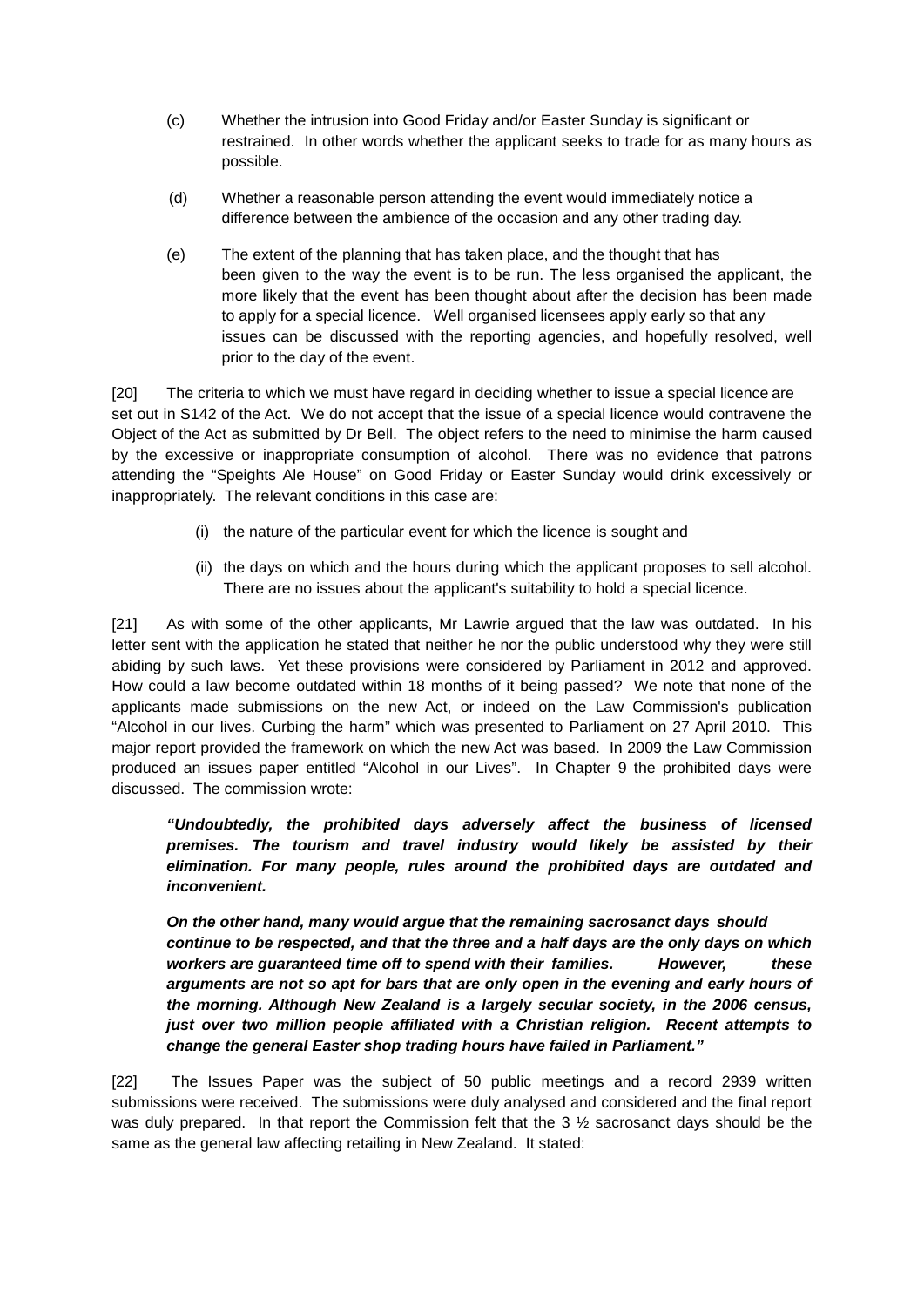- (c) Whether the intrusion into Good Friday and/or Easter Sunday is significant or restrained. In other words whether the applicant seeks to trade for as many hours as possible.
- (d) Whether a reasonable person attending the event would immediately notice a difference between the ambience of the occasion and any other trading day.
- (e) The extent of the planning that has taken place, and the thought that has been given to the way the event is to be run. The less organised the applicant, the more likely that the event has been thought about after the decision has been made to apply for a special licence. Well organised licensees apply early so that any issues can be discussed with the reporting agencies, and hopefully resolved, well prior to the day of the event.

[20] The criteria to which we must have regard in deciding whether to issue a special licence are set out in S142 of the Act. We do not accept that the issue of a special licence would contravene the Object of the Act as submitted by Dr Bell. The object refers to the need to minimise the harm caused by the excessive or inappropriate consumption of alcohol. There was no evidence that patrons attending the "Speights Ale House" on Good Friday or Easter Sunday would drink excessively or inappropriately. The relevant conditions in this case are:

- (i) the nature of the particular event for which the licence is sought and
- (ii) the days on which and the hours during which the applicant proposes to sell alcohol. There are no issues about the applicant's suitability to hold a special licence.

[21] As with some of the other applicants, Mr Lawrie argued that the law was outdated. In his letter sent with the application he stated that neither he nor the public understood why they were still abiding by such laws. Yet these provisions were considered by Parliament in 2012 and approved. How could a law become outdated within 18 months of it being passed? We note that none of the applicants made submissions on the new Act, or indeed on the Law Commission's publication "Alcohol in our lives. Curbing the harm" which was presented to Parliament on 27 April 2010. This major report provided the framework on which the new Act was based. In 2009 the Law Commission produced an issues paper entitled "Alcohol in our Lives". In Chapter 9 the prohibited days were discussed. The commission wrote:

*"Undoubtedly, the prohibited days adversely affect the business of licensed premises. The tourism and travel industry would likely be assisted by their elimination. For many people, rules around the prohibited days are outdated and inconvenient.*

*On the other hand, many would argue that the remaining sacrosanct days should continue to be respected, and that the three and a half days are the only days on which workers are guaranteed time off to spend with their families. However, these arguments are not so apt for bars that are only open in the evening and early hours of the morning. Although New Zealand is a largely secular society, in the 2006 census, just over two million people affiliated with a Christian religion. Recent attempts to change the general Easter shop trading hours have failed in Parliament."*

[22] The Issues Paper was the subject of 50 public meetings and a record 2939 written submissions were received. The submissions were duly analysed and considered and the final report was duly prepared. In that report the Commission felt that the 3  $\frac{1}{2}$  sacrosanct days should be the same as the general law affecting retailing in New Zealand. It stated: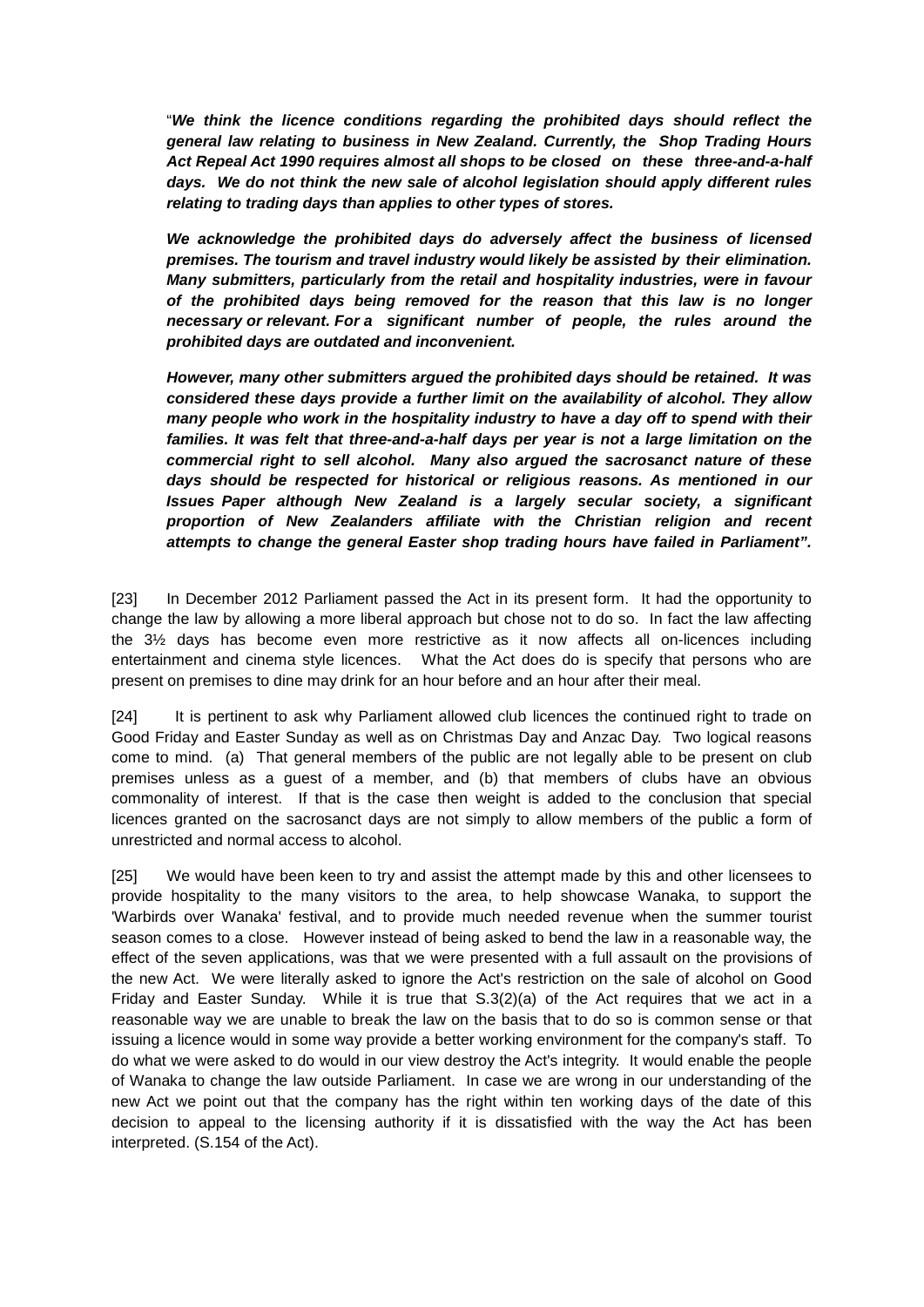"*We think the licence conditions regarding the prohibited days should reflect the general law relating to business in New Zealand. Currently, the Shop Trading Hours Act Repeal Act 1990 requires almost all shops to be closed on these three-and-a-half days. We do not think the new sale of alcohol legislation should apply different rules relating to trading days than applies to other types of stores.*

*We acknowledge the prohibited days do adversely affect the business of licensed premises. The tourism and travel industry would likely be assisted by their elimination. Many submitters, particularly from the retail and hospitality industries, were in favour of the prohibited days being removed for the reason that this law is no longer necessary or relevant. For a significant number of people, the rules around the prohibited days are outdated and inconvenient.*

*However, many other submitters argued the prohibited days should be retained. It was considered these days provide a further limit on the availability of alcohol. They allow many people who work in the hospitality industry to have a day off to spend with their families. It was felt that three-and-a-half days per year is not a large limitation on the commercial right to sell alcohol. Many also argued the sacrosanct nature of these days should be respected for historical or religious reasons. As mentioned in our Issues Paper although New Zealand is a largely secular society, a significant proportion of New Zealanders affiliate with the Christian religion and recent attempts to change the general Easter shop trading hours have failed in Parliament".*

[23] In December 2012 Parliament passed the Act in its present form. It had the opportunity to change the law by allowing a more liberal approach but chose not to do so. In fact the law affecting the 3½ days has become even more restrictive as it now affects all on-licences including entertainment and cinema style licences. What the Act does do is specify that persons who are present on premises to dine may drink for an hour before and an hour after their meal.

[24] It is pertinent to ask why Parliament allowed club licences the continued right to trade on Good Friday and Easter Sunday as well as on Christmas Day and Anzac Day. Two logical reasons come to mind. (a) That general members of the public are not legally able to be present on club premises unless as a guest of a member, and (b) that members of clubs have an obvious commonality of interest. If that is the case then weight is added to the conclusion that special licences granted on the sacrosanct days are not simply to allow members of the public a form of unrestricted and normal access to alcohol.

[25] We would have been keen to try and assist the attempt made by this and other licensees to provide hospitality to the many visitors to the area, to help showcase Wanaka, to support the 'Warbirds over Wanaka' festival, and to provide much needed revenue when the summer tourist season comes to a close. However instead of being asked to bend the law in a reasonable way, the effect of the seven applications, was that we were presented with a full assault on the provisions of the new Act. We were literally asked to ignore the Act's restriction on the sale of alcohol on Good Friday and Easter Sunday. While it is true that S.3(2)(a) of the Act requires that we act in a reasonable way we are unable to break the law on the basis that to do so is common sense or that issuing a licence would in some way provide a better working environment for the company's staff. To do what we were asked to do would in our view destroy the Act's integrity. It would enable the people of Wanaka to change the law outside Parliament. In case we are wrong in our understanding of the new Act we point out that the company has the right within ten working days of the date of this decision to appeal to the licensing authority if it is dissatisfied with the way the Act has been interpreted. (S.154 of the Act).